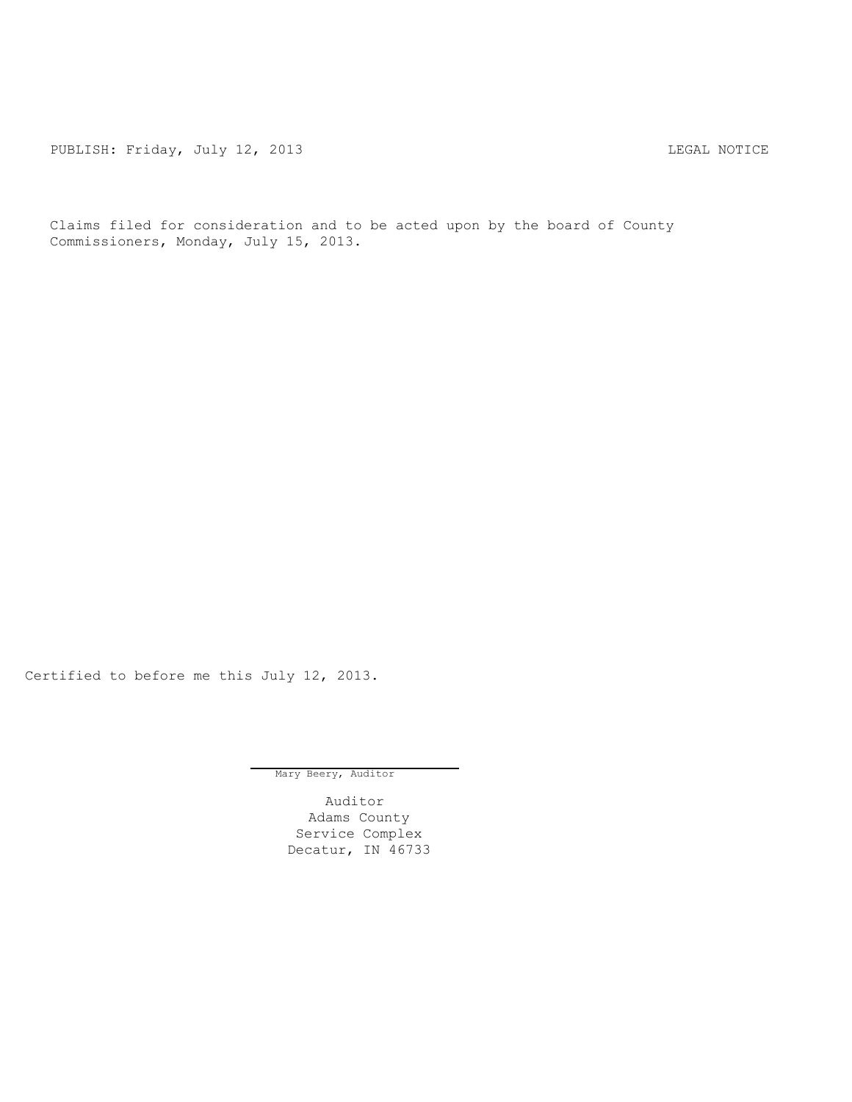PUBLISH: Friday, July 12, 2013 2008 2014 12: 2013

Claims filed for consideration and to be acted upon by the board of County Commissioners, Monday, July 15, 2013.

Certified to before me this July 12, 2013.

Mary Beery, Auditor

Auditor Adams County Service Complex Decatur, IN 46733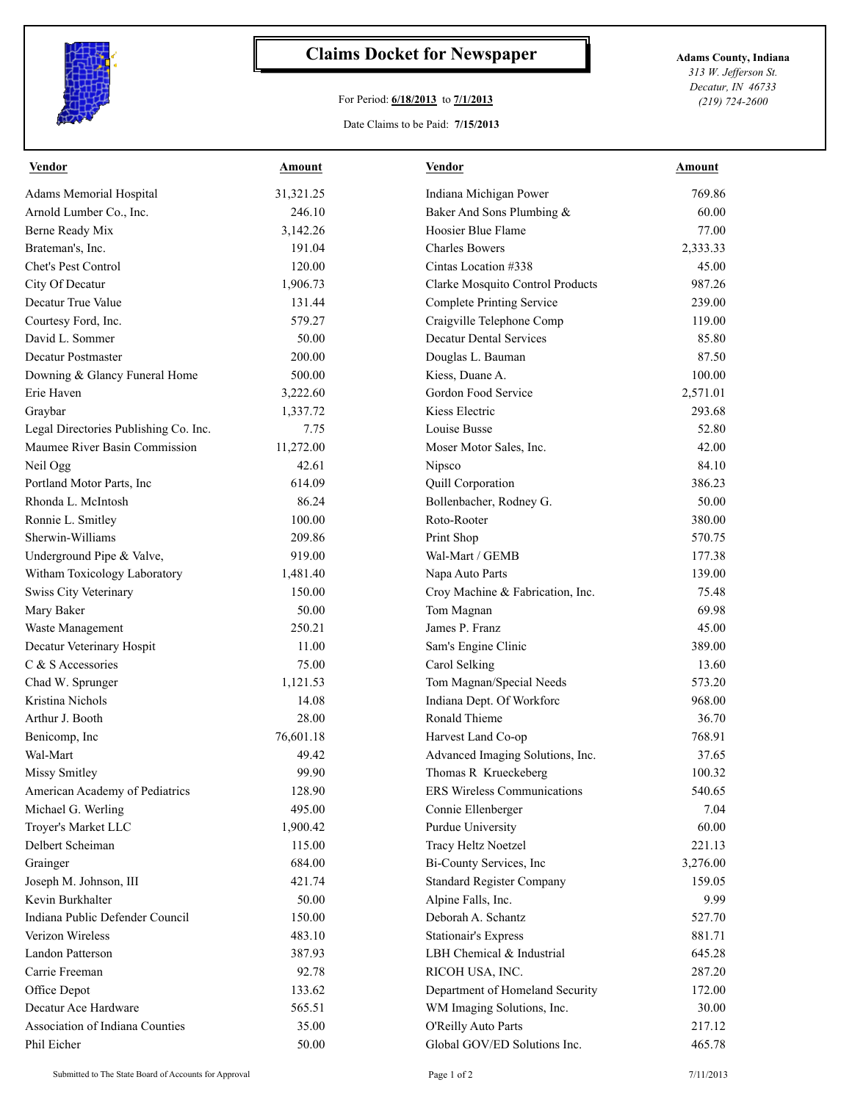

## **Claims Docket for Newspaper Adams County, Indiana**

## For Period: **6/18/2013** to **7/1/2013**

*313 W. Jefferson St. Decatur, IN 46733 (219) 724-2600*

## Date Claims to be Paid: **7/15/2013**

| <b>Vendor</b>                         | <b>Amount</b> | <b>Vendor</b>                    | <b>Amount</b> |
|---------------------------------------|---------------|----------------------------------|---------------|
| <b>Adams Memorial Hospital</b>        | 31,321.25     | Indiana Michigan Power           | 769.86        |
| Arnold Lumber Co., Inc.               | 246.10        | Baker And Sons Plumbing &        | 60.00         |
| Berne Ready Mix                       | 3,142.26      | Hoosier Blue Flame               | 77.00         |
| Brateman's, Inc.                      | 191.04        | <b>Charles Bowers</b>            | 2,333.33      |
| Chet's Pest Control                   | 120.00        | Cintas Location #338             | 45.00         |
| City Of Decatur                       | 1,906.73      | Clarke Mosquito Control Products | 987.26        |
| Decatur True Value                    | 131.44        | <b>Complete Printing Service</b> | 239.00        |
| Courtesy Ford, Inc.                   | 579.27        | Craigville Telephone Comp        | 119.00        |
| David L. Sommer                       | 50.00         | <b>Decatur Dental Services</b>   | 85.80         |
| Decatur Postmaster                    | 200.00        | Douglas L. Bauman                | 87.50         |
| Downing & Glancy Funeral Home         | 500.00        | Kiess, Duane A.                  | 100.00        |
| Erie Haven                            | 3,222.60      | Gordon Food Service              | 2,571.01      |
| Graybar                               | 1,337.72      | Kiess Electric                   | 293.68        |
| Legal Directories Publishing Co. Inc. | 7.75          | Louise Busse                     | 52.80         |
| Maumee River Basin Commission         | 11,272.00     | Moser Motor Sales, Inc.          | 42.00         |
| Neil Ogg                              | 42.61         | Nipsco                           | 84.10         |
| Portland Motor Parts, Inc             | 614.09        | Quill Corporation                | 386.23        |
| Rhonda L. McIntosh                    | 86.24         | Bollenbacher, Rodney G.          | 50.00         |
| Ronnie L. Smitley                     | 100.00        | Roto-Rooter                      | 380.00        |
| Sherwin-Williams                      | 209.86        | Print Shop                       | 570.75        |
| Underground Pipe & Valve,             | 919.00        | Wal-Mart / GEMB                  | 177.38        |
| Witham Toxicology Laboratory          | 1,481.40      | Napa Auto Parts                  | 139.00        |
| Swiss City Veterinary                 | 150.00        | Croy Machine & Fabrication, Inc. | 75.48         |
| Mary Baker                            | 50.00         | Tom Magnan                       | 69.98         |
| Waste Management                      | 250.21        | James P. Franz                   | 45.00         |
| Decatur Veterinary Hospit             | 11.00         | Sam's Engine Clinic              | 389.00        |
| C & S Accessories                     | 75.00         | Carol Selking                    | 13.60         |
| Chad W. Sprunger                      | 1,121.53      | Tom Magnan/Special Needs         | 573.20        |
| Kristina Nichols                      | 14.08         | Indiana Dept. Of Workforc        | 968.00        |
| Arthur J. Booth                       | 28.00         | Ronald Thieme                    | 36.70         |
| Benicomp, Inc.                        | 76,601.18     | Harvest Land Co-op               | 768.91        |
| Wal-Mart                              | 49.42         | Advanced Imaging Solutions, Inc. | 37.65         |
| <b>Missy Smitley</b>                  | 99.90         | Thomas R Krueckeberg             | 100.32        |
| American Academy of Pediatrics        | 128.90        | ERS Wireless Communications      | 540.65        |
| Michael G. Werling                    | 495.00        | Connie Ellenberger               | 7.04          |
| Troyer's Market LLC                   | 1,900.42      | Purdue University                | 60.00         |
| Delbert Scheiman                      | 115.00        | Tracy Heltz Noetzel              | 221.13        |
| Grainger                              | 684.00        | Bi-County Services, Inc          | 3,276.00      |
| Joseph M. Johnson, III                | 421.74        | <b>Standard Register Company</b> | 159.05        |
| Kevin Burkhalter                      | 50.00         | Alpine Falls, Inc.               | 9.99          |
| Indiana Public Defender Council       | 150.00        | Deborah A. Schantz               | 527.70        |
| Verizon Wireless                      | 483.10        | <b>Stationair's Express</b>      | 881.71        |
| Landon Patterson                      | 387.93        | LBH Chemical & Industrial        | 645.28        |
| Carrie Freeman                        | 92.78         | RICOH USA, INC.                  | 287.20        |
| Office Depot                          | 133.62        | Department of Homeland Security  | 172.00        |
| Decatur Ace Hardware                  | 565.51        | WM Imaging Solutions, Inc.       | 30.00         |
| Association of Indiana Counties       | 35.00         | O'Reilly Auto Parts              | 217.12        |
| Phil Eicher                           | 50.00         | Global GOV/ED Solutions Inc.     | 465.78        |
|                                       |               |                                  |               |